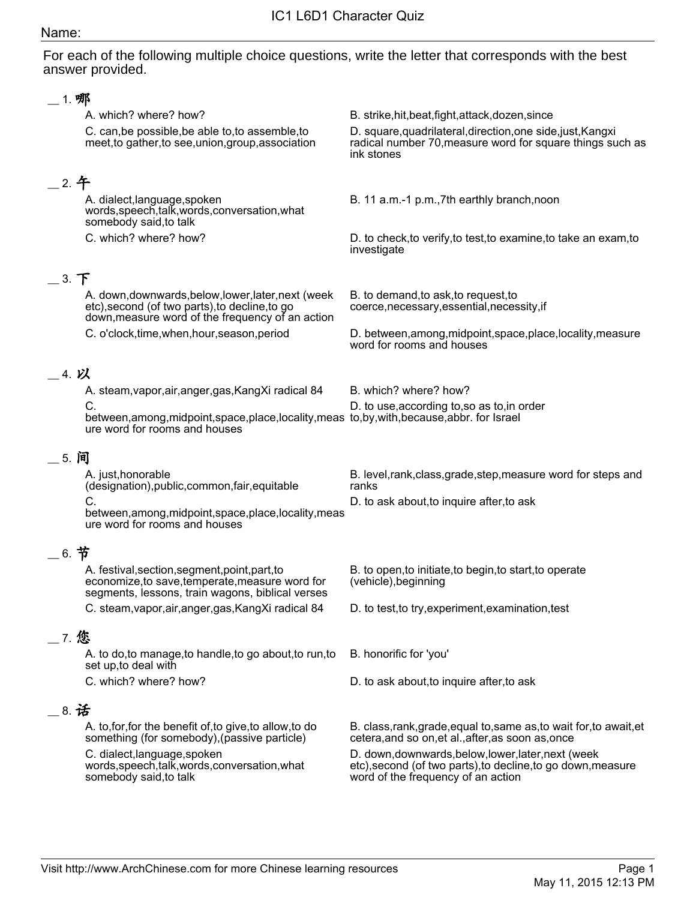For each of the following multiple choice questions, write the letter that corresponds with the best answer provided.

| B. strike, hit, beat, fight, attack, dozen, since                                                                                                         |
|-----------------------------------------------------------------------------------------------------------------------------------------------------------|
| D. square, quadrilateral, direction, one side, just, Kangxi<br>radical number 70, measure word for square things such as<br>ink stones                    |
|                                                                                                                                                           |
| B. 11 a.m.-1 p.m., 7th earthly branch, noon                                                                                                               |
| D. to check, to verify, to test, to examine, to take an exam, to<br>investigate                                                                           |
|                                                                                                                                                           |
| B. to demand, to ask, to request, to<br>coerce, necessary, essential, necessity, if                                                                       |
| D. between, among, midpoint, space, place, locality, measure<br>word for rooms and houses                                                                 |
|                                                                                                                                                           |
| B. which? where? how?                                                                                                                                     |
| D. to use, according to, so as to, in order<br>between, among, midpoint, space, place, locality, meas to, by, with, because, abbr. for Israel             |
|                                                                                                                                                           |
| B. level, rank, class, grade, step, measure word for steps and<br>ranks                                                                                   |
| D. to ask about, to inquire after, to ask<br>between, among, midpoint, space, place, locality, meas                                                       |
|                                                                                                                                                           |
| B. to open, to initiate, to begin, to start, to operate<br>(vehicle), beginning                                                                           |
| D. to test, to try, experiment, examination, test                                                                                                         |
|                                                                                                                                                           |
| B. honorific for 'you'                                                                                                                                    |
|                                                                                                                                                           |
| D. to ask about, to inquire after, to ask                                                                                                                 |
|                                                                                                                                                           |
| B. class, rank, grade, equal to, same as, to wait for, to await, et<br>cetera, and so on, et al., after, as soon as, once                                 |
| D. down, downwards, below, lower, later, next (week<br>etc), second (of two parts), to decline, to go down, measure<br>word of the frequency of an action |
|                                                                                                                                                           |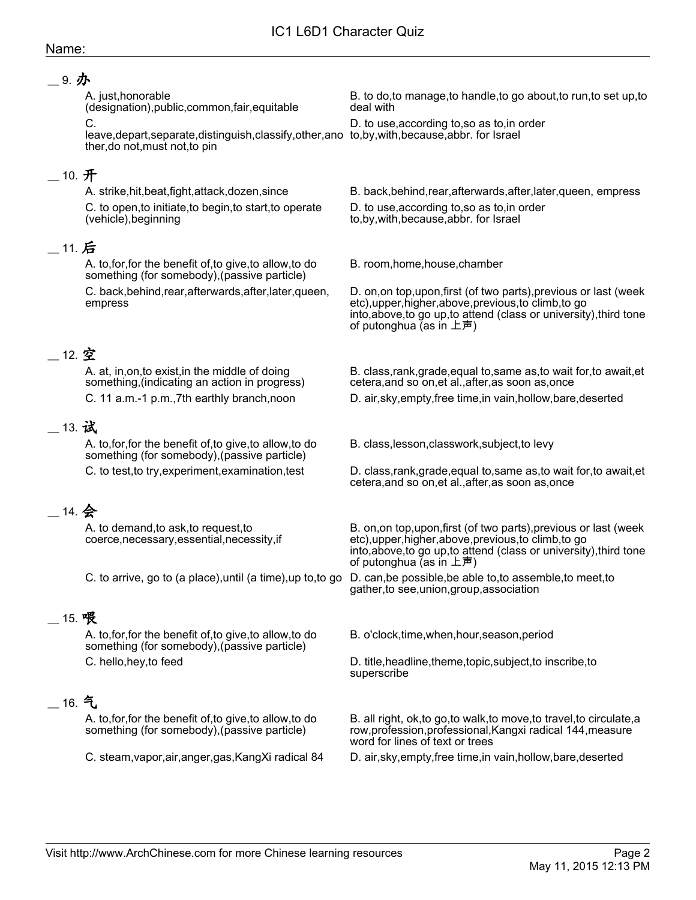#### \_\_ 9. 办

A. just,honorable (designation),public,common,fair,equitable  $\Omega$ 

leave,depart,separate,distinguish,classify,other,ano to,by,with,because,abbr. for Israel ther,do not,must not,to pin

## $\_$  10.  $\mathbf{\mathcal{F}}$

C. to open,to initiate,to begin,to start,to operate (vehicle),beginning

## $\_$  11. 后

A. to,for,for the benefit of,to give,to allow,to do something (for somebody),(passive particle)

C. back,behind,rear,afterwards,after,later,queen, empress

## \_\_ 12. 空

A. at, in,on,to exist,in the middle of doing something,(indicating an action in progress)

## \_\_ 13. 试

A. to,for,for the benefit of,to give,to allow,to do something (for somebody),(passive particle)

# \_\_ 14. 会

A. to demand,to ask,to request,to coerce,necessary,essential,necessity,if

## \_\_ 15. 喂

A. to,for,for the benefit of,to give,to allow,to do something (for somebody),(passive particle)

## \_\_ 16. 气

A. to,for,for the benefit of,to give,to allow,to do something (for somebody),(passive particle)

B. to do,to manage,to handle,to go about,to run,to set up,to deal with

D. to use,according to,so as to,in order

A. strike,hit,beat,fight,attack,dozen,since B. back,behind,rear,afterwards,after,later,queen, empress

D. to use,according to,so as to,in order

to,by,with,because,abbr. for Israel

B. room,home,house,chamber

D. on,on top,upon,first (of two parts),previous or last (week etc),upper,higher,above,previous,to climb,to go into,above,to go up,to attend (class or university),third tone of putonghua (as in 上声)

B. class,rank,grade,equal to,same as,to wait for,to await,et cetera,and so on,et al.,after,as soon as,once

C. 11 a.m.-1 p.m.,7th earthly branch,noon D. air,sky,empty,free time,in vain,hollow,bare,deserted

B. class,lesson,classwork,subject,to levy

C. to test,to try,experiment,examination,test D. class,rank,grade,equal to,same as,to wait for,to await,et cetera,and so on,et al.,after,as soon as,once

> B. on,on top,upon,first (of two parts),previous or last (week etc),upper,higher,above,previous,to climb,to go into,above,to go up,to attend (class or university),third tone of putonghua (as in 上声)

C. to arrive, go to (a place),until (a time),up to,to go D. can,be possible,be able to,to assemble,to meet,to gather,to see,union,group,association

B. o'clock,time,when,hour,season,period

C. hello,hey,to feed **D.** title,headline,theme,topic,subject,to inscribe,to superscribe

> B. all right, ok,to go,to walk,to move,to travel,to circulate,a row,profession,professional,Kangxi radical 144,measure word for lines of text or trees

C. steam,vapor,air,anger,gas,KangXi radical 84 D. air,sky,empty,free time,in vain,hollow,bare,deserted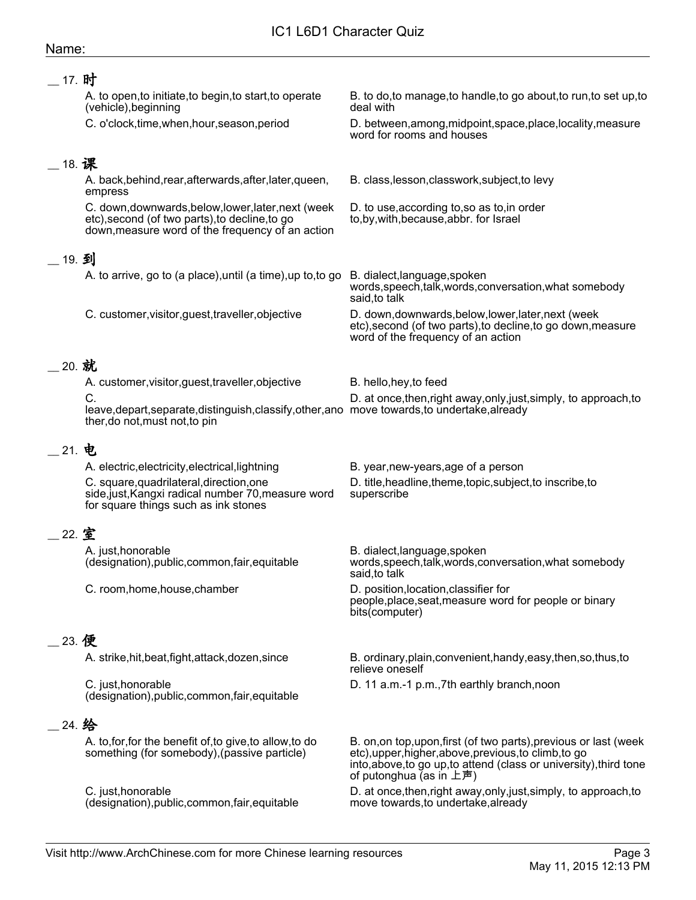## IC1 L6D1 Character Quiz

#### Name:

| __ 17. 时 |                                                                                                                                                           |                                                                                                                                                                                                                             |
|----------|-----------------------------------------------------------------------------------------------------------------------------------------------------------|-----------------------------------------------------------------------------------------------------------------------------------------------------------------------------------------------------------------------------|
|          | A. to open, to initiate, to begin, to start, to operate<br>(vehicle), beginning                                                                           | B. to do, to manage, to handle, to go about, to run, to set up, to<br>deal with                                                                                                                                             |
|          | C. o'clock, time, when, hour, season, period                                                                                                              | D. between, among, midpoint, space, place, locality, measure<br>word for rooms and houses                                                                                                                                   |
| _18. 课   |                                                                                                                                                           |                                                                                                                                                                                                                             |
|          | A. back, behind, rear, afterwards, after, later, queen,<br>empress                                                                                        | B. class, lesson, classwork, subject, to levy                                                                                                                                                                               |
|          | C. down, downwards, below, lower, later, next (week<br>etc), second (of two parts), to decline, to go<br>down, measure word of the frequency of an action | D. to use, according to, so as to, in order<br>to, by, with, because, abbr. for Israel                                                                                                                                      |
| _19. 到   |                                                                                                                                                           |                                                                                                                                                                                                                             |
|          | A. to arrive, go to (a place), until (a time), up to, to go                                                                                               | B. dialect, language, spoken<br>words, speech, talk, words, conversation, what somebody<br>said, to talk                                                                                                                    |
|          | C. customer, visitor, guest, traveller, objective                                                                                                         | D. down, downwards, below, lower, later, next (week<br>etc), second (of two parts), to decline, to go down, measure<br>word of the frequency of an action                                                                   |
| 20. 就    |                                                                                                                                                           |                                                                                                                                                                                                                             |
|          | A. customer, visitor, guest, traveller, objective                                                                                                         | B. hello, hey, to feed                                                                                                                                                                                                      |
|          | C.<br>leave, depart, separate, distinguish, classify, other, ano move towards, to undertake, already<br>ther, do not, must not, to pin                    | D. at once, then, right away, only, just, simply, to approach, to                                                                                                                                                           |
| 21. 电    |                                                                                                                                                           |                                                                                                                                                                                                                             |
|          | A. electric, electricity, electrical, lightning                                                                                                           | B. year, new-years, age of a person                                                                                                                                                                                         |
|          | C. square, quadrilateral, direction, one<br>side, just, Kangxi radical number 70, measure word<br>for square things such as ink stones                    | D. title, headline, theme, topic, subject, to inscribe, to<br>superscribe                                                                                                                                                   |
| 22. 室    |                                                                                                                                                           |                                                                                                                                                                                                                             |
|          | A. just, honorable<br>(designation), public, common, fair, equitable                                                                                      | B. dialect, language, spoken<br>words, speech, talk, words, conversation, what somebody<br>said, to talk                                                                                                                    |
|          | C. room, home, house, chamber                                                                                                                             | D. position, location, classifier for<br>people, place, seat, measure word for people or binary<br>bits(computer)                                                                                                           |
| 23. 便    |                                                                                                                                                           |                                                                                                                                                                                                                             |
|          | A. strike, hit, beat, fight, attack, dozen, since                                                                                                         | B. ordinary, plain, convenient, handy, easy, then, so, thus, to<br>relieve oneself                                                                                                                                          |
|          | C. just, honorable<br>(designation), public, common, fair, equitable                                                                                      | D. 11 a.m.-1 p.m., 7th earthly branch, noon                                                                                                                                                                                 |
| 24. 给    |                                                                                                                                                           |                                                                                                                                                                                                                             |
|          | A. to, for, for the benefit of, to give, to allow, to do<br>something (for somebody), (passive particle)                                                  | B. on, on top, upon, first (of two parts), previous or last (week<br>etc), upper, higher, above, previous, to climb, to go<br>into, above, to go up, to attend (class or university), third tone<br>of putonghua (as in 上声) |
|          | C. just, honorable<br>(designation), public, common, fair, equitable                                                                                      | D. at once, then, right away, only, just, simply, to approach, to<br>move towards, to undertake, already                                                                                                                    |
|          |                                                                                                                                                           |                                                                                                                                                                                                                             |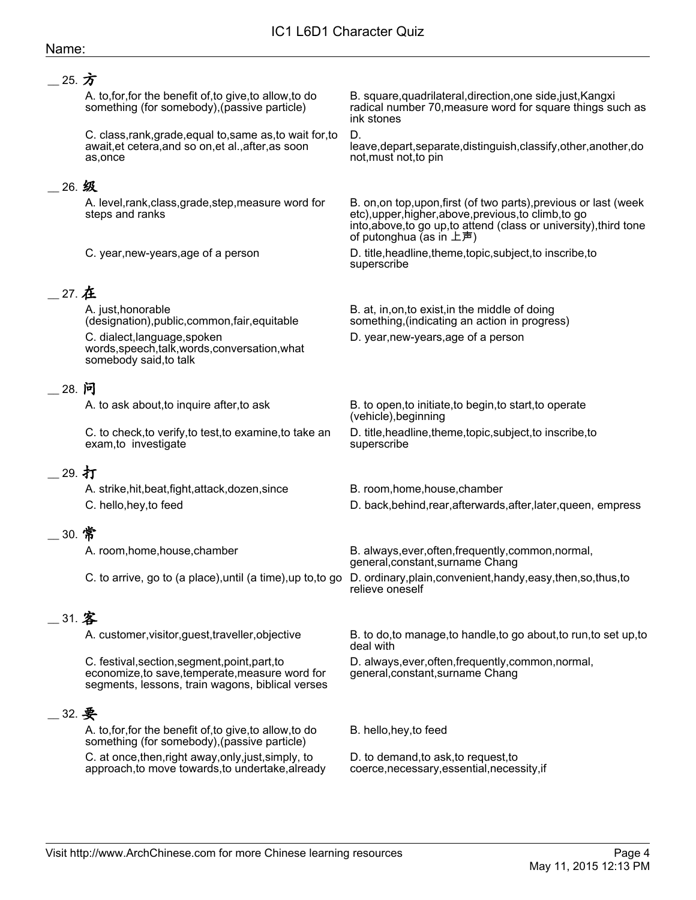## \_\_ 25. 方

A. to,for,for the benefit of,to give,to allow,to do something (for somebody),(passive particle)

C. class,rank,grade,equal to,same as,to wait for,to await,et cetera,and so on,et al.,after,as soon as,once

#### \_\_ 26. 级

A. level,rank,class,grade,step,measure word for steps and ranks

## \_\_ 27. 在

A. just,honorable (designation),public,common,fair,equitable

C. dialect,language,spoken words,speech,talk,words,conversation,what somebody said,to talk

#### \_\_ 28. 问

C. to check,to verify,to test,to examine,to take an exam,to investigate

## 29. 打

A. strike,hit,beat,fight,attack,dozen,since B. room,home,house,chamber

## \_\_ 30. 常

## \_\_ 31. 客

C. festival,section,segment,point,part,to economize,to save,temperate,measure word for segments, lessons, train wagons, biblical verses

## $-$  32.

A. to,for,for the benefit of,to give,to allow,to do something (for somebody),(passive particle) C. at once,then,right away,only,just,simply, to approach,to move towards,to undertake,already B. square,quadrilateral,direction,one side,just,Kangxi radical number 70,measure word for square things such as ink stones

#### D.

leave,depart,separate,distinguish,classify,other,another,do not,must not,to pin

B. on,on top,upon,first (of two parts),previous or last (week etc),upper,higher,above,previous,to climb,to go into,above,to go up,to attend (class or university),third tone of putonghua (as in 上声)

C. year,new-years,age of a person D. title,headline,theme,topic,subject,to inscribe,to superscribe

> B. at, in,on,to exist,in the middle of doing something,(indicating an action in progress)

D. year,new-years,age of a person

A. to ask about, to inquire after, to ask B. to open, to initiate, to begin, to start, to operate (vehicle),beginning D. title,headline,theme,topic,subject,to inscribe,to superscribe

- 
- C. hello,hey,to feed D. back,behind,rear,afterwards,after,later,queen, empress

A. room,home,house,chamber B. always,ever,often,frequently,common,normal, general,constant,surname Chang

C. to arrive, go to (a place),until (a time),up to,to go D. ordinary,plain,convenient,handy,easy,then,so,thus,to relieve oneself

A. customer, visitor, guest, traveller, objective B. to do, to manage, to handle, to go about, to run, to set up, to deal with

> D. always,ever,often,frequently,common,normal, general,constant,surname Chang

B. hello,hey,to feed

D. to demand,to ask,to request,to coerce,necessary,essential,necessity,if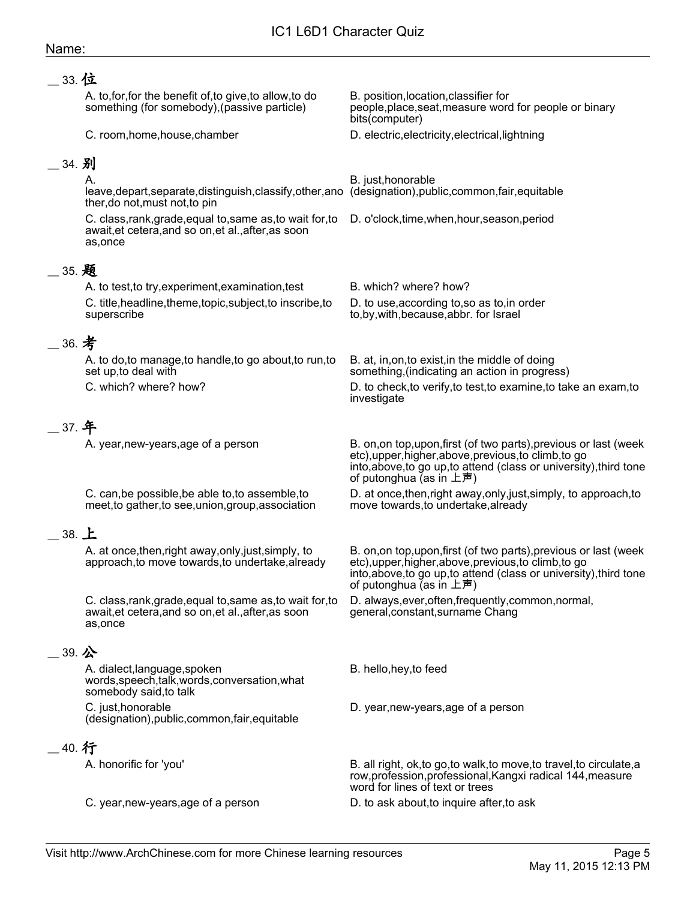#### IC1 L6D1 Character Quiz Name: \_\_ 33. 位 A. to,for,for the benefit of,to give,to allow,to do something (for somebody),(passive particle) B. position,location,classifier for people,place,seat,measure word for people or binary bits(computer) C. room,home,house,chamber D. electric,electricity,electrical,lightning 34. 别 A. leave,depart,separate,distinguish,classify,other,ano (designation),public,common,fair,equitable ther,do not,must not,to pin B. just,honorable C. class,rank,grade,equal to,same as,to wait for,to D. o'clock,time,when,hour,season,period await,et cetera,and so on,et al.,after,as soon as,once \_\_ 35. 题 A. to test, to try, experiment, examination, test B. which? where? how? C. title,headline,theme,topic,subject,to inscribe,to superscribe D. to use,according to,so as to,in order to,by,with,because,abbr. for Israel \_\_ 36. 考 A. to do,to manage,to handle,to go about,to run,to set up,to deal with B. at, in,on,to exist,in the middle of doing something,(indicating an action in progress) C. which? where? how? D. to check,to verify,to test,to examine,to take an exam,to investigate  $\_$  37. 年 A. year,new-years,age of a person B. on,on top,upon,first (of two parts), previous or last (week etc),upper,higher,above,previous,to climb,to go into,above,to go up,to attend (class or university),third tone of putonghua (as in 上声) C. can,be possible,be able to,to assemble,to meet,to gather,to see,union,group,association D. at once,then,right away,only,just,simply, to approach,to move towards,to undertake,already \_\_ 38. 上 A. at once,then,right away,only,just,simply, to approach,to move towards,to undertake,already B. on,on top,upon,first (of two parts),previous or last (week etc),upper,higher,above,previous,to climb,to go into,above,to go up,to attend (class or university),third tone of putonghua (as in 上声) C. class,rank,grade,equal to,same as,to wait for,to await,et cetera,and so on,et al.,after,as soon as,once D. always,ever,often,frequently,common,normal, general,constant,surname Chang  $-$  39. 公 A. dialect,language,spoken words,speech,talk,words,conversation,what somebody said,to talk B. hello,hey,to feed C. just,honorable (designation),public,common,fair,equitable D. year,new-years,age of a person  $\_$  40. 行 A. honorific for 'you' B. all right, ok,to go,to walk,to move,to travel,to circulate,a row,profession,professional,Kangxi radical 144,measure word for lines of text or trees

C. year,new-years,age of a person D. to ask about,to inquire after,to ask